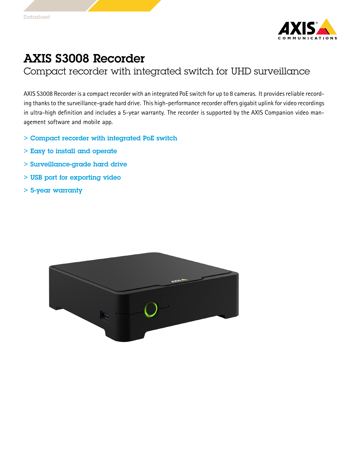

## AXIS S3008 Recorder

Compact recorder with integrated switch for UHD surveillance

AXIS S3008 Recorder is a compact recorder with an integrated PoE switch for up to 8 cameras. It provides reliable recording thanks to the surveillance-grade hard drive. This high-performance recorder offers gigabit uplink for video recordings in ultra-high definition and includes <sup>a</sup> 5-year warranty. The recorder is supported by the AXIS Companion video management software and mobile app.

- > Compact recorder with integrated PoE switch
- > Easy to install and operate
- > Surveillance-grade hard drive
- > USB port for exporting video
- > 5-year warranty